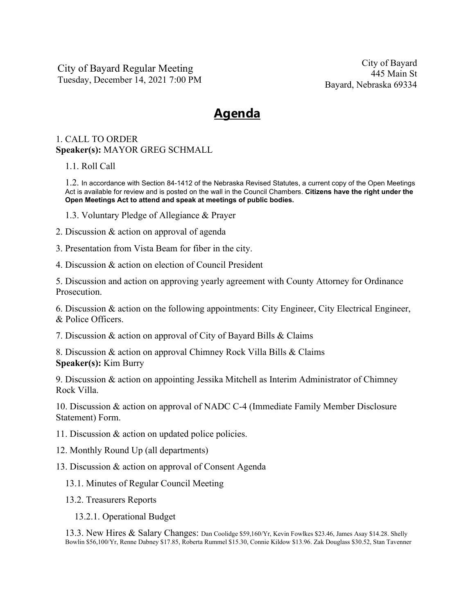City of Bayard Regular Meeting Tuesday, December 14, 2021 7:00 PM

City of Bayard 445 Main St Bayard, Nebraska 69334

## **Agenda**

## 1. CALL TO ORDER **Speaker(s):** MAYOR GREG SCHMALL

1.1. Roll Call

1.2. In accordance with Section 84-1412 of the Nebraska Revised Statutes, a current copy of the Open Meetings Act is available for review and is posted on the wall in the Council Chambers. **Citizens have the right under the Open Meetings Act to attend and speak at meetings of public bodies.**

- 1.3. Voluntary Pledge of Allegiance & Prayer
- 2. Discussion & action on approval of agenda
- 3. Presentation from Vista Beam for fiber in the city.
- 4. Discussion & action on election of Council President

5. Discussion and action on approving yearly agreement with County Attorney for Ordinance Prosecution.

6. Discussion & action on the following appointments: City Engineer, City Electrical Engineer, & Police Officers.

7. Discussion & action on approval of City of Bayard Bills & Claims

8. Discussion & action on approval Chimney Rock Villa Bills & Claims **Speaker(s):** Kim Burry

9. Discussion & action on appointing Jessika Mitchell as Interim Administrator of Chimney Rock Villa.

10. Discussion & action on approval of NADC C-4 (Immediate Family Member Disclosure Statement) Form.

- 11. Discussion & action on updated police policies.
- 12. Monthly Round Up (all departments)
- 13. Discussion & action on approval of Consent Agenda
	- 13.1. Minutes of Regular Council Meeting
	- 13.2. Treasurers Reports
		- 13.2.1. Operational Budget

13.3. New Hires & Salary Changes: Dan Coolidge \$59,160/Yr, Kevin Fowlkes \$23.46, James Asay \$14.28. Shelly Bowlin \$56,100/Yr, Renne Dabney \$17.85, Roberta Rummel \$15.30, Connie Kildow \$13.96. Zak Douglass \$30.52, Stan Tavenner